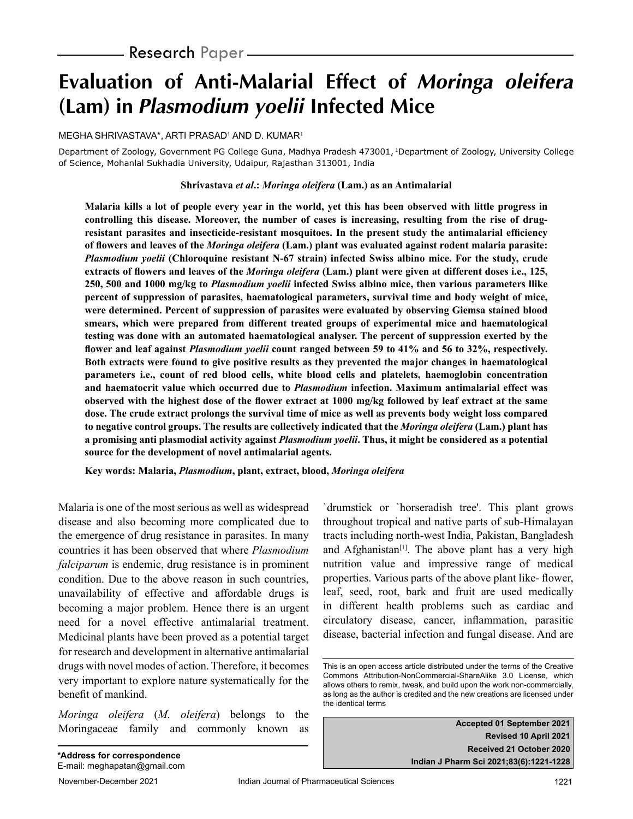# **Evaluation of Anti-Malarial Effect of Moringa oleifera (Lam) in Plasmodium yoelii Infected Mice**

MEGHA SHRIVASTAVA\*, ARTI PRASAD1 AND D. KUMAR1

Department of Zoology, Government PG College Guna, Madhya Pradesh 473001, 1Department of Zoology, University College of Science, Mohanlal Sukhadia University, Udaipur, Rajasthan 313001, India

#### **Shrivastava** *et al***.:** *Moringa oleifera* **(Lam.) as an Antimalarial**

**Malaria kills a lot of people every year in the world, yet this has been observed with little progress in controlling this disease. Moreover, the number of cases is increasing, resulting from the rise of drugresistant parasites and insecticide-resistant mosquitoes. In the present study the antimalarial efficiency of flowers and leaves of the** *Moringa oleifera* **(Lam.) plant was evaluated against rodent malaria parasite:**  *Plasmodium yoelii* **(Chloroquine resistant N-67 strain) infected Swiss albino mice. For the study, crude extracts of flowers and leaves of the** *Moringa oleifera* **(Lam.) plant were given at different doses i.e., 125, 250, 500 and 1000 mg/kg to** *Plasmodium yoelii* **infected Swiss albino mice, then various parameters llike percent of suppression of parasites, haematological parameters, survival time and body weight of mice, were determined. Percent of suppression of parasites were evaluated by observing Giemsa stained blood smears, which were prepared from different treated groups of experimental mice and haematological testing was done with an automated haematological analyser. The percent of suppression exerted by the flower and leaf against** *Plasmodium yoelii* **count ranged between 59 to 41% and 56 to 32%, respectively. Both extracts were found to give positive results as they prevented the major changes in haematological parameters i.e., count of red blood cells, white blood cells and platelets, haemoglobin concentration and haematocrit value which occurred due to** *Plasmodium* **infection. Maximum antimalarial effect was observed with the highest dose of the flower extract at 1000 mg/kg followed by leaf extract at the same dose. The crude extract prolongs the survival time of mice as well as prevents body weight loss compared to negative control groups. The results are collectively indicated that the** *Moringa oleifera* **(Lam.) plant has a promising anti plasmodial activity against** *Plasmodium yoelii***. Thus, it might be considered as a potential source for the development of novel antimalarial agents.**

**Key words: Malaria,** *Plasmodium***, plant, extract, blood,** *Moringa oleifera*

Malaria is one of the most serious as well as widespread disease and also becoming more complicated due to the emergence of drug resistance in parasites. In many countries it has been observed that where *Plasmodium falciparum* is endemic, drug resistance is in prominent condition. Due to the above reason in such countries, unavailability of effective and affordable drugs is becoming a major problem. Hence there is an urgent need for a novel effective antimalarial treatment. Medicinal plants have been proved as a potential target for research and development in alternative antimalarial drugs with novel modes of action. Therefore, it becomes very important to explore nature systematically for the benefit of mankind.

*Moringa oleifera* (*M. oleifera*) belongs to the Moringaceae family and commonly known as `drumstick or `horseradish tree'. This plant grows throughout tropical and native parts of sub-Himalayan tracts including north-west India, Pakistan, Bangladesh and Afghanistan<sup>[1]</sup>. The above plant has a very high nutrition value and impressive range of medical properties. Various parts of the above plant like- flower, leaf, seed, root, bark and fruit are used medically in different health problems such as cardiac and circulatory disease, cancer, inflammation, parasitic disease, bacterial infection and fungal disease. And are

**Accepted 01 September 2021 Revised 10 April 2021 Received 21 October 2020 Indian J Pharm Sci 2021;83(6):1221-1228**

This is an open access article distributed under the terms of the Creative Commons Attribution-NonCommercial-ShareAlike 3.0 License, which allows others to remix, tweak, and build upon the work non-commercially, as long as the author is credited and the new creations are licensed under the identical terms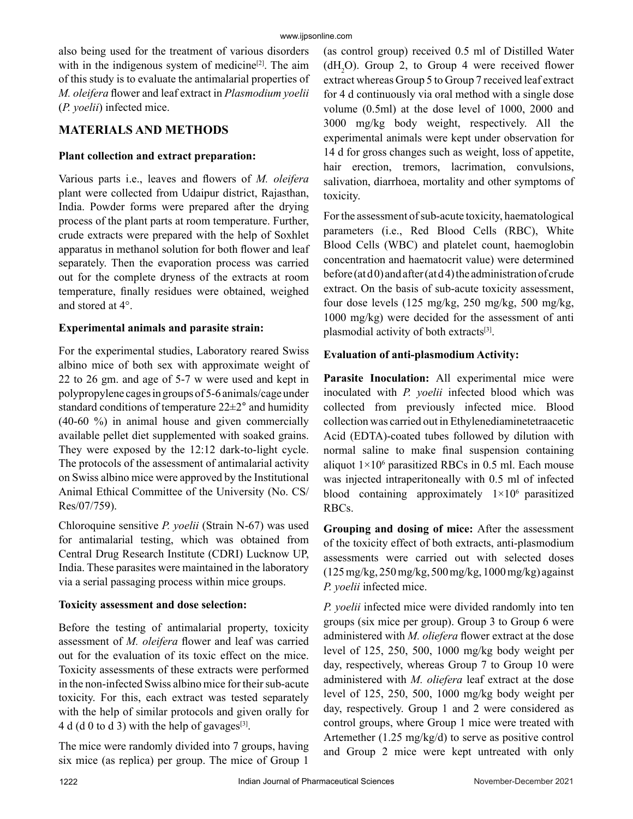also being used for the treatment of various disorders with in the indigenous system of medicine<sup>[2]</sup>. The aim of this study is to evaluate the antimalarial properties of *M. oleifera* flower and leaf extract in *Plasmodium yoelii*  (*P. yoelii*) infected mice.

## **MATERIALS AND METHODS**

#### **Plant collection and extract preparation:**

Various parts i.e., leaves and flowers of *M. oleifera*  plant were collected from Udaipur district, Rajasthan, India. Powder forms were prepared after the drying process of the plant parts at room temperature. Further, crude extracts were prepared with the help of Soxhlet apparatus in methanol solution for both flower and leaf separately. Then the evaporation process was carried out for the complete dryness of the extracts at room temperature, finally residues were obtained, weighed and stored at 4°.

#### **Experimental animals and parasite strain:**

For the experimental studies, Laboratory reared Swiss albino mice of both sex with approximate weight of 22 to 26 gm. and age of 5-7 w were used and kept in polypropylene cages in groups of 5-6 animals/cage under standard conditions of temperature 22±2° and humidity (40-60 %) in animal house and given commercially available pellet diet supplemented with soaked grains. They were exposed by the 12:12 dark-to-light cycle. The protocols of the assessment of antimalarial activity on Swiss albino mice were approved by the Institutional Animal Ethical Committee of the University (No. CS/ Res/07/759).

Chloroquine sensitive *P. yoelii* (Strain N-67) was used for antimalarial testing, which was obtained from Central Drug Research Institute (CDRI) Lucknow UP, India. These parasites were maintained in the laboratory via a serial passaging process within mice groups.

## **Toxicity assessment and dose selection:**

Before the testing of antimalarial property, toxicity assessment of *M. oleifera* flower and leaf was carried out for the evaluation of its toxic effect on the mice. Toxicity assessments of these extracts were performed in the non-infected Swiss albino mice for their sub-acute toxicity. For this, each extract was tested separately with the help of similar protocols and given orally for 4 d (d 0 to d 3) with the help of gavages $[3]$ .

The mice were randomly divided into 7 groups, having six mice (as replica) per group. The mice of Group 1

(as control group) received 0.5 ml of Distilled Water  $(dH<sub>2</sub>O)$ . Group 2, to Group 4 were received flower extract whereas Group 5 to Group 7 received leaf extract for 4 d continuously via oral method with a single dose volume (0.5ml) at the dose level of 1000, 2000 and 3000 mg/kg body weight, respectively. All the experimental animals were kept under observation for 14 d for gross changes such as weight, loss of appetite, hair erection, tremors, lacrimation, convulsions, salivation, diarrhoea, mortality and other symptoms of toxicity.

For the assessment of sub-acute toxicity, haematological parameters (i.e., Red Blood Cells (RBC), White Blood Cells (WBC) and platelet count, haemoglobin concentration and haematocrit value) were determined before (at  $d$ 0) and after (at  $d$ 4) the administration of crude extract. On the basis of sub-acute toxicity assessment, four dose levels (125 mg/kg, 250 mg/kg, 500 mg/kg, 1000 mg/kg) were decided for the assessment of anti plasmodial activity of both extracts<sup>[3]</sup>.

## **Evaluation of anti-plasmodium Activity:**

Parasite Inoculation: All experimental mice were inoculated with *P. yoelii* infected blood which was collected from previously infected mice. Blood collection was carried out in Ethylenediaminetetraacetic Acid (EDTA)-coated tubes followed by dilution with normal saline to make final suspension containing aliquot  $1 \times 10^6$  parasitized RBCs in 0.5 ml. Each mouse was injected intraperitoneally with 0.5 ml of infected blood containing approximately 1×106 parasitized RBCs.

**Grouping and dosing of mice:** After the assessment of the toxicity effect of both extracts, anti-plasmodium assessments were carried out with selected doses (125 mg/kg, 250 mg/kg, 500 mg/kg, 1000 mg/kg) against *P. yoelii* infected mice.

*P. yoelii* infected mice were divided randomly into ten groups (six mice per group). Group 3 to Group 6 were administered with *M. oliefera* flower extract at the dose level of 125, 250, 500, 1000 mg/kg body weight per day, respectively, whereas Group 7 to Group 10 were administered with *M. oliefera* leaf extract at the dose level of 125, 250, 500, 1000 mg/kg body weight per day, respectively. Group 1 and 2 were considered as control groups, where Group 1 mice were treated with Artemether (1.25 mg/kg/d) to serve as positive control and Group 2 mice were kept untreated with only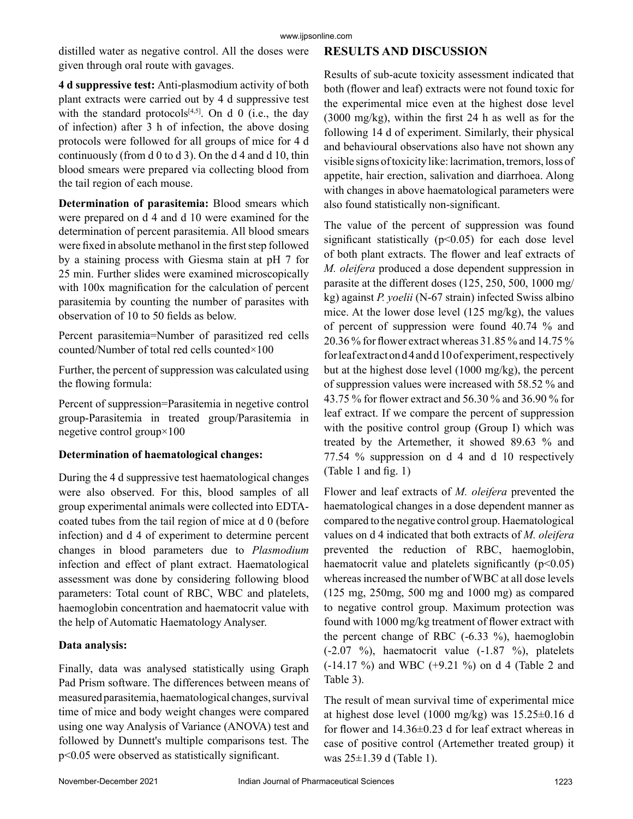distilled water as negative control. All the doses were given through oral route with gavages.

### **RESULTS AND DISCUSSION**

**4 d suppressive test:** Anti-plasmodium activity of both plant extracts were carried out by 4 d suppressive test with the standard protocols $[4,5]$ . On d 0 (i.e., the day of infection) after 3 h of infection, the above dosing protocols were followed for all groups of mice for 4 d continuously (from d 0 to d 3). On the d 4 and d 10, thin blood smears were prepared via collecting blood from the tail region of each mouse.

**Determination of parasitemia:** Blood smears which were prepared on d 4 and d 10 were examined for the determination of percent parasitemia. All blood smears were fixed in absolute methanol in the first step followed by a staining process with Giesma stain at pH 7 for 25 min. Further slides were examined microscopically with 100x magnification for the calculation of percent parasitemia by counting the number of parasites with observation of 10 to 50 fields as below.

Percent parasitemia=Number of parasitized red cells counted/Number of total red cells counted×100

Further, the percent of suppression was calculated using the flowing formula:

Percent of suppression=Parasitemia in negetive control group-Parasitemia in treated group/Parasitemia in negetive control group×100

## **Determination of haematological changes:**

During the 4 d suppressive test haematological changes were also observed. For this, blood samples of all group experimental animals were collected into EDTAcoated tubes from the tail region of mice at d 0 (before infection) and d 4 of experiment to determine percent changes in blood parameters due to *Plasmodium* infection and effect of plant extract. Haematological assessment was done by considering following blood parameters: Total count of RBC, WBC and platelets, haemoglobin concentration and haematocrit value with the help of Automatic Haematology Analyser.

## **Data analysis:**

Finally, data was analysed statistically using Graph Pad Prism software. The differences between means of measured parasitemia, haematological changes, survival time of mice and body weight changes were compared using one way Analysis of Variance (ANOVA) test and followed by Dunnett's multiple comparisons test. The p<0.05 were observed as statistically significant.

Results of sub-acute toxicity assessment indicated that both (flower and leaf) extracts were not found toxic for the experimental mice even at the highest dose level (3000 mg/kg), within the first 24 h as well as for the following 14 d of experiment. Similarly, their physical and behavioural observations also have not shown any visible signs of toxicity like: lacrimation, tremors, loss of appetite, hair erection, salivation and diarrhoea. Along with changes in above haematological parameters were also found statistically non-significant.

The value of the percent of suppression was found significant statistically  $(p<0.05)$  for each dose level of both plant extracts. The flower and leaf extracts of *M. oleifera* produced a dose dependent suppression in parasite at the different doses (125, 250, 500, 1000 mg/ kg) against *P. yoelii* (N-67 strain) infected Swiss albino mice. At the lower dose level (125 mg/kg), the values of percent of suppression were found 40.74 % and 20.36 % for flower extract whereas 31.85 % and 14.75 % for leaf extract on d 4 and d 10 of experiment, respectively but at the highest dose level (1000 mg/kg), the percent of suppression values were increased with 58.52 % and 43.75 % for flower extract and 56.30 % and 36.90 % for leaf extract. If we compare the percent of suppression with the positive control group (Group I) which was treated by the Artemether, it showed 89.63 % and 77.54 % suppression on d 4 and d 10 respectively (Table 1 and fig. 1)

Flower and leaf extracts of *M. oleifera* prevented the haematological changes in a dose dependent manner as compared to the negative control group. Haematological values on d 4 indicated that both extracts of *M. oleifera*  prevented the reduction of RBC, haemoglobin, haematocrit value and platelets significantly  $(p<0.05)$ whereas increased the number of WBC at all dose levels (125 mg, 250mg, 500 mg and 1000 mg) as compared to negative control group. Maximum protection was found with 1000 mg/kg treatment of flower extract with the percent change of RBC (-6.33 %), haemoglobin  $(-2.07 \%)$ , haematocrit value  $(-1.87 \%)$ , platelets (-14.17 %) and WBC (+9.21 %) on d 4 (Table 2 and Table 3).

The result of mean survival time of experimental mice at highest dose level (1000 mg/kg) was 15.25±0.16 d for flower and 14.36±0.23 d for leaf extract whereas in case of positive control (Artemether treated group) it was 25±1.39 d (Table 1).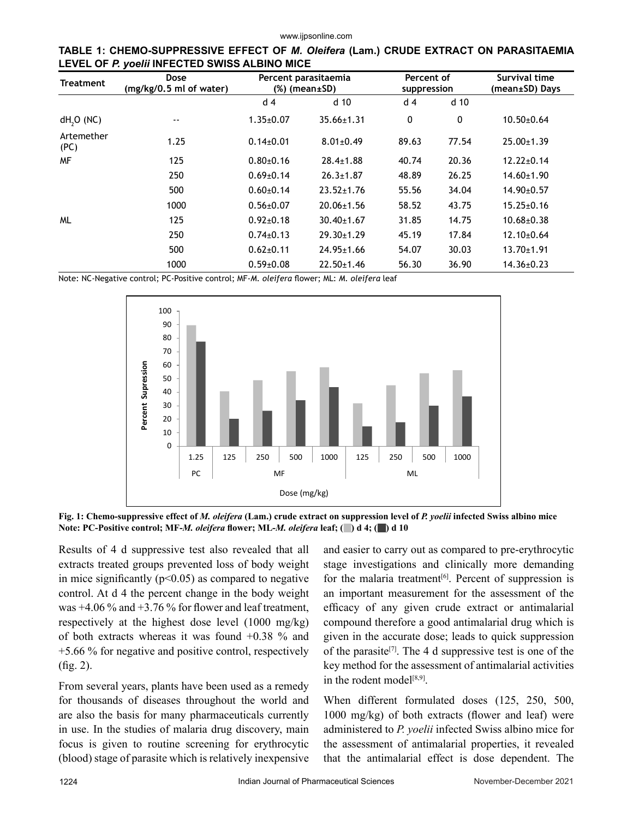www.ijpsonline.com

|  | TABLE 1: CHEMO-SUPPRESSIVE EFFECT OF <i>M. Oleifera</i> (Lam.) CRUDE EXTRACT ON PARASITAEMIA |  |  |  |  |  |
|--|----------------------------------------------------------------------------------------------|--|--|--|--|--|
|  | LEVEL OF P. yoelii INFECTED SWISS ALBINO MICE                                                |  |  |  |  |  |

| <b>Treatment</b>      | Dose<br>(mg/kg/0.5 ml of water) |                 | Percent parasitaemia<br>% (mean±SD) | Percent of<br>suppression |                 | Survival time<br>(mean±SD) Days |  |
|-----------------------|---------------------------------|-----------------|-------------------------------------|---------------------------|-----------------|---------------------------------|--|
|                       |                                 | d 4             | d <sub>10</sub>                     | d <sub>4</sub>            | d <sub>10</sub> |                                 |  |
| dH <sub>2</sub> O(NC) | --                              | $1.35 \pm 0.07$ | $35.66 \pm 1.31$                    | 0                         | 0               | $10.50 \pm 0.64$                |  |
| Artemether<br>(PC)    | 1.25                            | $0.14\pm0.01$   | $8.01 \pm 0.49$                     | 89.63                     | 77.54           | $25.00 \pm 1.39$                |  |
| MF                    | 125                             | $0.80{\pm}0.16$ | $28.4 \pm 1.88$                     | 40.74                     | 20.36           | $12.22 \pm 0.14$                |  |
|                       | 250                             | $0.69 \pm 0.14$ | $26.3 \pm 1.87$                     | 48.89                     | 26.25           | $14.60 \pm 1.90$                |  |
|                       | 500                             | $0.60+0.14$     | $23.52 \pm 1.76$                    | 55.56                     | 34.04           | 14.90±0.57                      |  |
|                       | 1000                            | $0.56 \pm 0.07$ | $20.06 \pm 1.56$                    | 58.52                     | 43.75           | $15.25 \pm 0.16$                |  |
| <b>ML</b>             | 125                             | $0.92 \pm 0.18$ | $30.40 \pm 1.67$                    | 31.85                     | 14.75           | $10.68 \pm 0.38$                |  |
|                       | 250                             | $0.74 \pm 0.13$ | 29.30±1.29                          | 45.19                     | 17.84           | $12.10 \pm 0.64$                |  |
|                       | 500                             | $0.62 \pm 0.11$ | $24.95 \pm 1.66$                    | 54.07                     | 30.03           | $13.70 \pm 1.91$                |  |
|                       | 1000                            | $0.59 \pm 0.08$ | $22.50 + 1.46$                      | 56.30                     | 36.90           | $14.36 \pm 0.23$                |  |

Note: NC-Negative control; PC-Positive control; MF-*M. oleifera* flower; ML: *M. oleifera* leaf



**Fig. 1: Chemo-suppressive effect of** *M. oleifera* **(Lam.) crude extract on suppression level of** *P. yoelii* **infected Swiss albino mice Note: PC-Positive control; MF-***M. oleifera* **flower; ML-***M. oleifera* **leaf; ( ) d 4; ( ) d 10**

Results of 4 d suppressive test also revealed that all extracts treated groups prevented loss of body weight in mice significantly ( $p<0.05$ ) as compared to negative control. At d 4 the percent change in the body weight was  $+4.06\%$  and  $+3.76\%$  for flower and leaf treatment, respectively at the highest dose level (1000 mg/kg) of both extracts whereas it was found +0.38 % and +5.66 % for negative and positive control, respectively (fig. 2).

From several years, plants have been used as a remedy for thousands of diseases throughout the world and are also the basis for many pharmaceuticals currently in use. In the studies of malaria drug discovery, main focus is given to routine screening for erythrocytic (blood) stage of parasite which is relatively inexpensive and easier to carry out as compared to pre-erythrocytic stage investigations and clinically more demanding for the malaria treatment<sup>[6]</sup>. Percent of suppression is an important measurement for the assessment of the efficacy of any given crude extract or antimalarial compound therefore a good antimalarial drug which is given in the accurate dose; leads to quick suppression of the parasite<sup>[7]</sup>. The 4 d suppressive test is one of the key method for the assessment of antimalarial activities in the rodent model<sup>[8,9]</sup>.

When different formulated doses (125, 250, 500, 1000 mg/kg) of both extracts (flower and leaf) were administered to *P. yoelii* infected Swiss albino mice for the assessment of antimalarial properties, it revealed that the antimalarial effect is dose dependent. The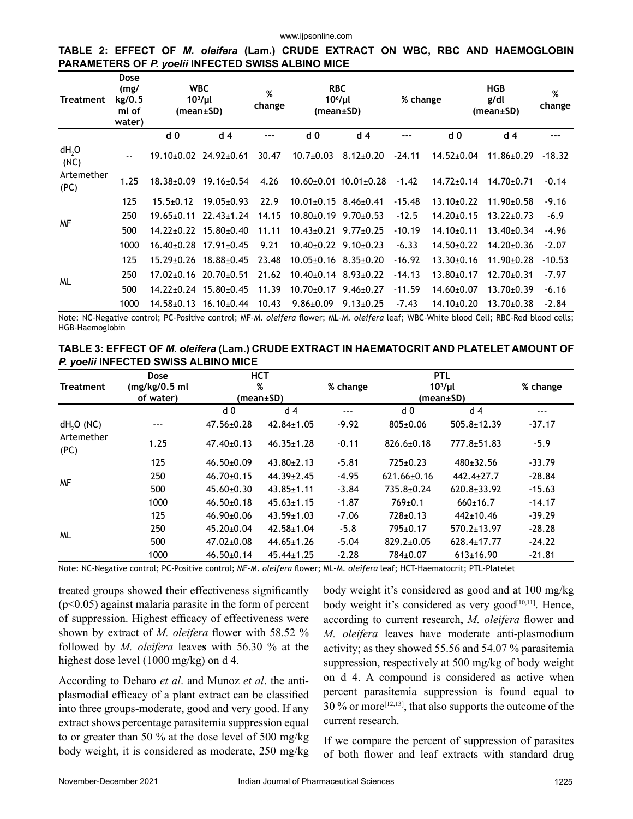#### **TABLE 2: EFFECT OF** *M. oleifera* **(Lam.) CRUDE EXTRACT ON WBC, RBC AND HAEMOGLOBIN PARAMETERS OF** *P. yoelii* **INFECTED SWISS ALBINO MICE**

| Treatment                 | Dose<br>(mg/<br>kg/0.5<br>ml of<br>water) | <b>WBC</b><br>$103/\mu l$<br>(mean±SD) |                  | %<br>change | <b>RBC</b><br>$106/\mu l$<br>(mean±SD) |                                   | % change |                  | <b>HGB</b><br>g/dl<br>(mean±SD) | %<br>change |  |
|---------------------------|-------------------------------------------|----------------------------------------|------------------|-------------|----------------------------------------|-----------------------------------|----------|------------------|---------------------------------|-------------|--|
|                           |                                           | d <sub>0</sub>                         | d <sub>4</sub>   | ---         | d <sub>0</sub>                         | d <sub>4</sub>                    | ---      | d <sub>0</sub>   | d <sub>4</sub>                  | $---$       |  |
| dH <sub>2</sub> O<br>(NC) | $\sim$ $\sim$                             | $19.10+0.02$                           | $24.92 \pm 0.61$ | 30.47       | $10.7 \pm 0.03$                        | $8.12 \pm 0.20$                   | $-24.11$ | $14.52 \pm 0.04$ | $11.86 \pm 0.29$                | $-18.32$    |  |
| Artemether<br>(PC)        | 1.25                                      | $18.38 \pm 0.09$                       | $19.16 \pm 0.54$ | 4.26        |                                        | $10.60 \pm 0.01$ $10.01 \pm 0.28$ | $-1.42$  | $14.72 \pm 0.14$ | $14.70 \pm 0.71$                | $-0.14$     |  |
|                           | 125                                       | $15.5 \pm 0.12$                        | $19.05 \pm 0.93$ | 22.9        | $10.01 \pm 0.15$ 8.46 $\pm$ 0.41       |                                   | $-15.48$ | $13.10 \pm 0.22$ | $11.90 \pm 0.58$                | $-9.16$     |  |
| <b>MF</b>                 | 250                                       | $19.65 \pm 0.11$                       | $22.43 \pm 1.24$ | 14.15       | $10.80\pm0.19$ 9.70 $\pm0.53$          |                                   | $-12.5$  | $14.20 \pm 0.15$ | $13.22 \pm 0.73$                | $-6.9$      |  |
|                           | 500                                       | $14.22 + 0.22$                         | $15.80{\pm}0.40$ | 11.11       | $10.43+0.21$ 9.77+0.25                 |                                   | $-10.19$ | $14.10+0.11$     | $13.40 \pm 0.34$                | $-4.96$     |  |
|                           | 1000                                      | $16.40 \pm 0.28$                       | $17.91 \pm 0.45$ | 9.21        | $10.40 \pm 0.22$                       | $9.10+0.23$                       | $-6.33$  | $14.50+0.22$     | $14.20 \pm 0.36$                | $-2.07$     |  |
|                           | 125                                       | $15.29 \pm 0.26$                       | $18.88 \pm 0.45$ | 23.48       |                                        | $10.05 \pm 0.16$ 8.35 $\pm$ 0.20  | $-16.92$ | $13.30+0.16$     | $11.90 \pm 0.28$                | $-10.53$    |  |
| <b>ML</b>                 | 250                                       | $17.02 \pm 0.16$                       | $20.70+0.51$     | 21.62       | $10.40+0.14$ $8.93+0.22$               |                                   | $-14.13$ | $13.80+0.17$     | $12.70+0.31$                    | $-7.97$     |  |
|                           | 500                                       | $14.22 \pm 0.24$                       | $15.80+0.45$     | 11.39       | $10.70 \pm 0.17$                       | $9.46 \pm 0.27$                   | $-11.59$ | $14.60 \pm 0.07$ | $13.70+0.39$                    | $-6.16$     |  |
|                           | 1000                                      | 14.58±0.13                             | $16.10{\pm}0.44$ | 10.43       | $9.86 \pm 0.09$                        | $9.13 \pm 0.25$                   | $-7.43$  | $14.10 \pm 0.20$ | $13.70+0.38$                    | $-2.84$     |  |

Note: NC-Negative control; PC-Positive control; MF-*M. oleifera* flower; ML-*M. oleifera* leaf; WBC-White blood Cell; RBC-Red blood cells; HGB-Haemoglobin

| TABLE 3: EFFECT OF <i>M. oleifera</i> (Lam.) CRUDE EXTRACT IN HAEMATOCRIT AND PLATELET AMOUNT OF |  |
|--------------------------------------------------------------------------------------------------|--|
| P. yoelii INFECTED SWISS ALBINO MICE                                                             |  |

|                       | <b>Dose</b>    |                  | <b>HCT</b>       |          | <b>PTL</b>        | % change          |          |
|-----------------------|----------------|------------------|------------------|----------|-------------------|-------------------|----------|
| <b>Treatment</b>      | (mg/kg/0.5 ml) |                  | %                | % change | $103/\mu l$       |                   |          |
|                       | of water)      |                  | (mean±SD)        |          | (mean±SD)         |                   |          |
|                       |                | d 0              | d <sub>4</sub>   | ---      | d 0               | d 4               | ---      |
| dH <sub>2</sub> O(NC) | ---            | $47.56 \pm 0.28$ | 42.84±1.05       | $-9.92$  | $805+0.06$        | $505.8 \pm 12.39$ | $-37.17$ |
| Artemether<br>(PC)    | 1.25           | $47.40\pm0.13$   | $46.35 \pm 1.28$ | $-0.11$  | $826.6 \pm 0.18$  | $777.8 \pm 51.83$ | $-5.9$   |
|                       | 125            | $46.50\pm0.09$   | $43.80 \pm 2.13$ | $-5.81$  | $725 \pm 0.23$    | $480+32.56$       | $-33.79$ |
| <b>MF</b>             | 250            | $46.70 \pm 0.15$ | $44.39 \pm 2.45$ | $-4.95$  | $621.66 \pm 0.16$ | $442.4 \pm 27.7$  | $-28.84$ |
|                       | 500            | $45.60+0.30$     | $43.85 \pm 1.11$ | $-3.84$  | 735.8±0.24        | $620.8 + 33.92$   | $-15.63$ |
|                       | 1000           | $46.50 \pm 0.18$ | $45.63 \pm 1.15$ | $-1.87$  | $769+0.1$         | $660+16.7$        | $-14.17$ |
|                       | 125            | $46.90 \pm 0.06$ | $43.59 \pm 1.03$ | $-7.06$  | $728+0.13$        | $442+10.46$       | $-39.29$ |
|                       | 250            | $45.20 \pm 0.04$ | $42.58 \pm 1.04$ | $-5.8$   | 795±0.17          | $570.2 \pm 13.97$ | $-28.28$ |
| <b>ML</b>             | 500            | $47.02 \pm 0.08$ | $44.65 \pm 1.26$ | $-5.04$  | $829.2 \pm 0.05$  | $628.4 \pm 17.77$ | $-24.22$ |
|                       | 1000           | $46.50 \pm 0.14$ | $45.44 \pm 1.25$ | $-2.28$  | 784±0.07          | $613 \pm 16.90$   | $-21.81$ |

Note: NC-Negative control; PC-Positive control; MF-*M. oleifera* flower; ML-*M. oleifera* leaf; HCT-Haematocrit; PTL-Platelet

treated groups showed their effectiveness significantly  $(p<0.05)$  against malaria parasite in the form of percent of suppression. Highest efficacy of effectiveness were shown by extract of *M. oleifera* flower with 58.52 % followed by *M. oleifera* leave**s** with 56.30 % at the highest dose level (1000 mg/kg) on d 4.

According to Deharo *et al*. and Munoz *et al*. the antiplasmodial efficacy of a plant extract can be classified into three groups-moderate, good and very good. If any extract shows percentage parasitemia suppression equal to or greater than 50 % at the dose level of 500 mg/kg body weight, it is considered as moderate, 250 mg/kg body weight it's considered as good and at 100 mg/kg body weight it's considered as very good $[10,11]$ . Hence, according to current research, *M. oleifera* flower and *M. oleifera* leaves have moderate anti-plasmodium activity; as they showed 55.56 and 54.07 % parasitemia suppression, respectively at 500 mg/kg of body weight on d 4. A compound is considered as active when percent parasitemia suppression is found equal to 30 % or more[12,13], that also supports the outcome of the current research.

If we compare the percent of suppression of parasites of both flower and leaf extracts with standard drug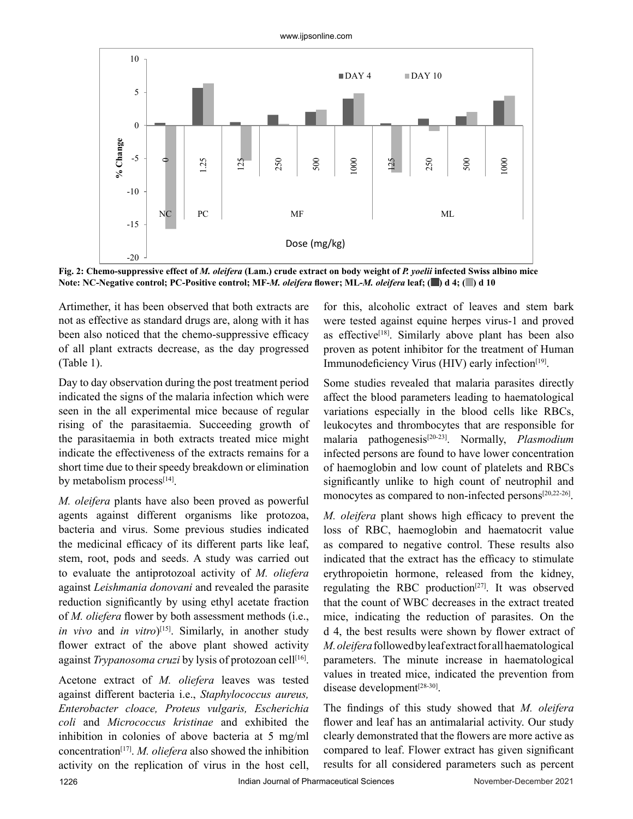www.ijpsonline.com



**Fig. 2: Chemo-suppressive effect of** *M. oleifera* **(Lam.) crude extract on body weight of** *P. yoelii* **infected Swiss albino mice Note: NC-Negative control; PC-Positive control; MF-***M. oleifera* **flower; ML-***M. oleifera* **leaf; ( ) d 4; ( ) d 10**

Artimether, it has been observed that both extracts are not as effective as standard drugs are, along with it has been also noticed that the chemo-suppressive efficacy of all plant extracts decrease, as the day progressed (Table 1).

Day to day observation during the post treatment period indicated the signs of the malaria infection which were seen in the all experimental mice because of regular rising of the parasitaemia. Succeeding growth of the parasitaemia in both extracts treated mice might indicate the effectiveness of the extracts remains for a short time due to their speedy breakdown or elimination by metabolism process<sup>[14]</sup>.

*M. oleifera* plants have also been proved as powerful agents against different organisms like protozoa, bacteria and virus. Some previous studies indicated the medicinal efficacy of its different parts like leaf, stem, root, pods and seeds. A study was carried out to evaluate the antiprotozoal activity of *M. oliefera* against *Leishmania donovani* and revealed the parasite reduction significantly by using ethyl acetate fraction of *M. oliefera* flower by both assessment methods (i.e., *in vivo* and *in vitro*) [15]. Similarly, in another study flower extract of the above plant showed activity against *Trypanosoma cruzi* by lysis of protozoan cell<sup>[16]</sup>.

Acetone extract of *M. oliefera* leaves was tested against different bacteria i.e., *Staphylococcus aureus, Enterobacter cloace, Proteus vulgaris, Escherichia coli* and *Micrococcus kristinae* and exhibited the inhibition in colonies of above bacteria at 5 mg/ml concentration[17]. *M. oliefera* also showed the inhibition activity on the replication of virus in the host cell, for this, alcoholic extract of leaves and stem bark were tested against equine herpes virus-1 and proved as effective<sup>[18]</sup>. Similarly above plant has been also proven as potent inhibitor for the treatment of Human Immunodeficiency Virus (HIV) early infection<sup>[19]</sup>.

Some studies revealed that malaria parasites directly affect the blood parameters leading to haematological variations especially in the blood cells like RBCs, leukocytes and thrombocytes that are responsible for malaria pathogenesis[20-23]. Normally, *Plasmodium* infected persons are found to have lower concentration of haemoglobin and low count of platelets and RBCs significantly unlike to high count of neutrophil and monocytes as compared to non-infected persons<sup>[20,22-26]</sup>.

*M. oleifera* plant shows high efficacy to prevent the loss of RBC, haemoglobin and haematocrit value as compared to negative control. These results also indicated that the extract has the efficacy to stimulate erythropoietin hormone, released from the kidney, regulating the RBC production<sup>[27]</sup>. It was observed that the count of WBC decreases in the extract treated mice, indicating the reduction of parasites. On the d 4, the best results were shown by flower extract of *M. oleifera* followed by leaf extract for all haematological parameters. The minute increase in haematological values in treated mice, indicated the prevention from disease development<sup>[28-30]</sup>.

The findings of this study showed that *M. oleifera*  flower and leaf has an antimalarial activity. Our study clearly demonstrated that the flowers are more active as compared to leaf. Flower extract has given significant results for all considered parameters such as percent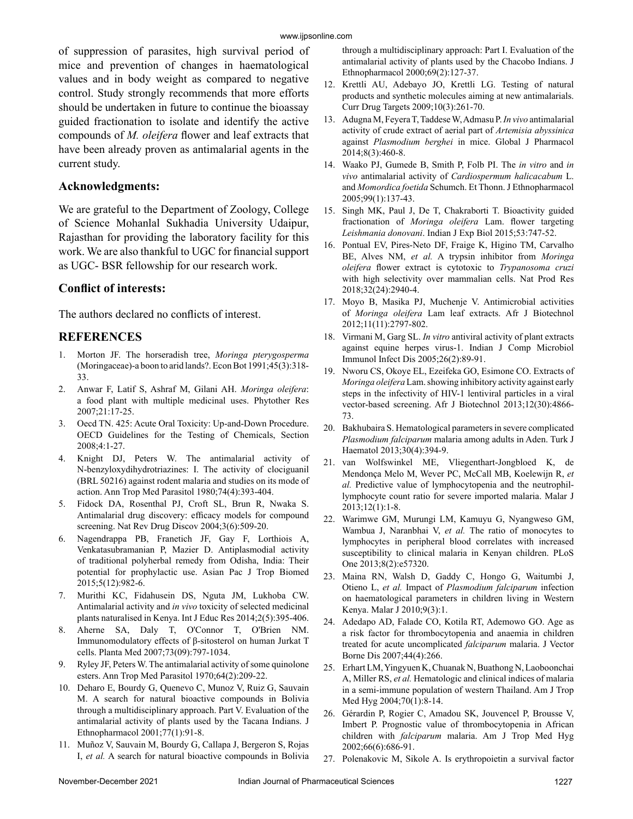of suppression of parasites, high survival period of mice and prevention of changes in haematological values and in body weight as compared to negative control. Study strongly recommends that more efforts should be undertaken in future to continue the bioassay guided fractionation to isolate and identify the active compounds of *M. oleifera* flower and leaf extracts that have been already proven as antimalarial agents in the current study.

#### **Acknowledgments:**

We are grateful to the Department of Zoology, College of Science Mohanlal Sukhadia University Udaipur, Rajasthan for providing the laboratory facility for this work. We are also thankful to UGC for financial support as UGC- BSR fellowship for our research work.

#### **Conflict of interests:**

The authors declared no conflicts of interest.

#### **REFERENCES**

- 1. Morton JF. The horseradish tree, *Moringa pterygosperma* (Moringaceae)-a boon to arid lands?. Econ Bot 1991;45(3):318- 33.
- 2. Anwar F, Latif S, Ashraf M, Gilani AH. *Moringa oleifera*: a food plant with multiple medicinal uses. Phytother Res 2007;21:17-25.
- 3. Oecd TN. 425: Acute Oral Toxicity: Up-and-Down Procedure. OECD Guidelines for the Testing of Chemicals, Section 2008;4:1-27.
- 4. Knight DJ, Peters W. The antimalarial activity of N-benzyloxydihydrotriazines: I. The activity of clociguanil (BRL 50216) against rodent malaria and studies on its mode of action. Ann Trop Med Parasitol 1980;74(4):393-404.
- 5. Fidock DA, Rosenthal PJ, Croft SL, Brun R, Nwaka S. Antimalarial drug discovery: efficacy models for compound screening. Nat Rev Drug Discov 2004;3(6):509-20.
- 6. Nagendrappa PB, Franetich JF, Gay F, Lorthiois A, Venkatasubramanian P, Mazier D. Antiplasmodial activity of traditional polyherbal remedy from Odisha, India: Their potential for prophylactic use. Asian Pac J Trop Biomed 2015;5(12):982-6.
- 7. Murithi KC, Fidahusein DS, Nguta JM, Lukhoba CW. Antimalarial activity and *in vivo* toxicity of selected medicinal plants naturalised in Kenya. Int J Educ Res 2014;2(5):395-406.
- 8. Aherne SA, Daly T, O'Connor T, O'Brien NM. Immunomodulatory effects of β-sitosterol on human Jurkat T cells. Planta Med 2007;73(09):797-1034.
- Ryley JF, Peters W. The antimalarial activity of some quinolone esters. Ann Trop Med Parasitol 1970;64(2):209-22.
- 10. Deharo E, Bourdy G, Quenevo C, Munoz V, Ruiz G, Sauvain M. A search for natural bioactive compounds in Bolivia through a multidisciplinary approach. Part V. Evaluation of the antimalarial activity of plants used by the Tacana Indians. J Ethnopharmacol 2001;77(1):91-8.
- 11. Muñoz V, Sauvain M, Bourdy G, Callapa J, Bergeron S, Rojas I, *et al.* A search for natural bioactive compounds in Bolivia

through a multidisciplinary approach: Part I. Evaluation of the antimalarial activity of plants used by the Chacobo Indians. J Ethnopharmacol 2000;69(2):127-37.

- 12. Krettli AU, Adebayo JO, Krettli LG. Testing of natural products and synthetic molecules aiming at new antimalarials. Curr Drug Targets 2009;10(3):261-70.
- 13. Adugna M, Feyera T, Taddese W, Admasu P. *In vivo* antimalarial activity of crude extract of aerial part of *Artemisia abyssinica* against *Plasmodium berghei* in mice. Global J Pharmacol 2014;8(3):460-8.
- 14. Waako PJ, Gumede B, Smith P, Folb PI. The *in vitro* and *in vivo* antimalarial activity of *Cardiospermum halicacabum* L. and *Momordica foetida* Schumch. Et Thonn. J Ethnopharmacol 2005;99(1):137-43.
- 15. Singh MK, Paul J, De T, Chakraborti T. Bioactivity guided fractionation of *Moringa oleifera* Lam. flower targeting *Leishmania donovani*. Indian J Exp Biol 2015;53:747-52.
- 16. Pontual EV, Pires-Neto DF, Fraige K, Higino TM, Carvalho BE, Alves NM, *et al.* A trypsin inhibitor from *Moringa oleifera* flower extract is cytotoxic to *Trypanosoma cruzi* with high selectivity over mammalian cells. Nat Prod Res 2018;32(24):2940-4.
- 17. Moyo B, Masika PJ, Muchenje V. Antimicrobial activities of *Moringa oleifera* Lam leaf extracts. Afr J Biotechnol 2012;11(11):2797-802.
- 18. Virmani M, Garg SL. *In vitro* antiviral activity of plant extracts against equine herpes virus-1. Indian J Comp Microbiol Immunol Infect Dis 2005;26(2):89-91.
- 19. Nworu CS, Okoye EL, Ezeifeka GO, Esimone CO. Extracts of *Moringa oleifera* Lam. showing inhibitory activity against early steps in the infectivity of HIV-1 lentiviral particles in a viral vector-based screening. Afr J Biotechnol 2013;12(30):4866- 73.
- 20. Bakhubaira S. Hematological parameters in severe complicated *Plasmodium falciparum* malaria among adults in Aden. Turk J Haematol 2013;30(4):394-9.
- 21. van Wolfswinkel ME, Vliegenthart-Jongbloed K, de Mendonça Melo M, Wever PC, McCall MB, Koelewijn R, *et al.* Predictive value of lymphocytopenia and the neutrophillymphocyte count ratio for severe imported malaria. Malar J 2013;12(1):1-8.
- 22. Warimwe GM, Murungi LM, Kamuyu G, Nyangweso GM, Wambua J, Naranbhai V, *et al.* The ratio of monocytes to lymphocytes in peripheral blood correlates with increased susceptibility to clinical malaria in Kenyan children. PLoS One 2013;8(2):e57320.
- 23. Maina RN, Walsh D, Gaddy C, Hongo G, Waitumbi J, Otieno L, *et al.* Impact of *Plasmodium falciparum* infection on haematological parameters in children living in Western Kenya. Malar J 2010;9(3):1.
- 24. Adedapo AD, Falade CO, Kotila RT, Ademowo GO. Age as a risk factor for thrombocytopenia and anaemia in children treated for acute uncomplicated *falciparum* malaria. J Vector Borne Dis 2007;44(4):266.
- 25. Erhart LM, Yingyuen K, Chuanak N, Buathong N, Laoboonchai A, Miller RS, *et al.* Hematologic and clinical indices of malaria in a semi-immune population of western Thailand. Am J Trop Med Hyg 2004;70(1):8-14.
- 26. Gérardin P, Rogier C, Amadou SK, Jouvencel P, Brousse V, Imbert P. Prognostic value of thrombocytopenia in African children with *falciparum* malaria. Am J Trop Med Hyg 2002;66(6):686-91.
- 27. Polenakovic M, Sikole A. Is erythropoietin a survival factor